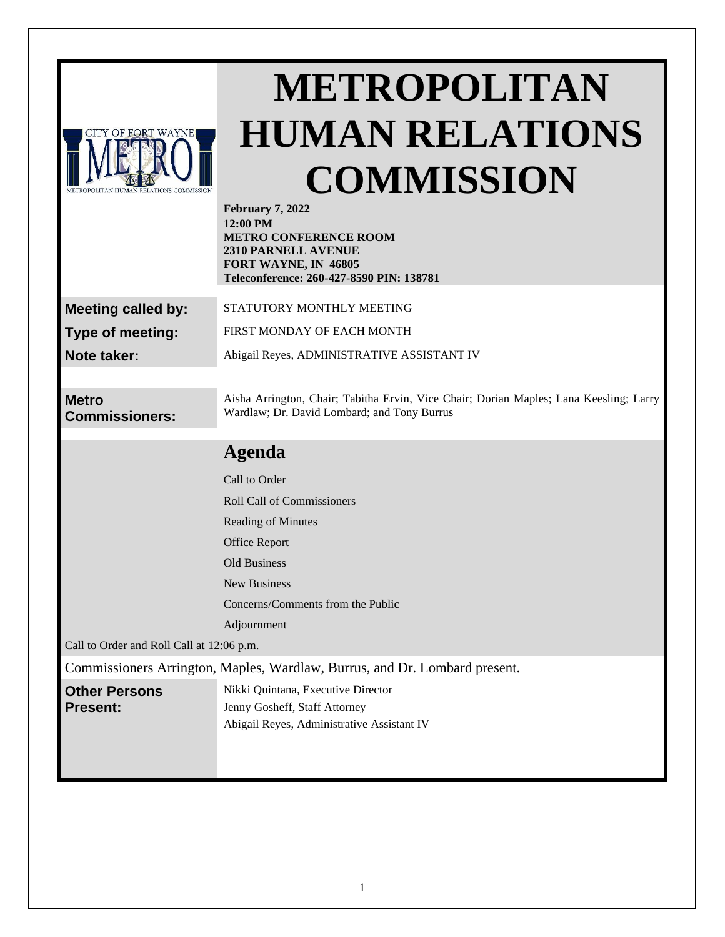| <b>CITY OF FORT WAYNE</b>               |  |
|-----------------------------------------|--|
|                                         |  |
|                                         |  |
|                                         |  |
| METROPOLITAN HUMAN RELATIONS COMMISSION |  |

# **METROPOLITAN HUMAN RELATIONS COMMISSION**

| <b>February 7, 2022</b><br>12:00 PM<br><b>METRO CONFERENCE ROOM</b><br>2310 PARNELL AVENUE<br>FORT WAYNE, IN 46805<br>Teleconference: 260-427-8590 PIN: 138781 |  |
|----------------------------------------------------------------------------------------------------------------------------------------------------------------|--|
| STATUTORY MONTHLY MEETING                                                                                                                                      |  |
| FIRST MONDAY OF EACH MONTH                                                                                                                                     |  |
| Abigail Reyes, ADMINISTRATIVE ASSISTANT IV                                                                                                                     |  |
|                                                                                                                                                                |  |
| Aisha Arrington, Chair; Tabitha Ervin, Vice Chair; Dorian Maples; Lana Keesling; Larry<br>Wardlaw; Dr. David Lombard; and Tony Burrus                          |  |
| <b>Agenda</b>                                                                                                                                                  |  |
| Call to Order                                                                                                                                                  |  |
| <b>Roll Call of Commissioners</b>                                                                                                                              |  |
| Reading of Minutes                                                                                                                                             |  |
| Office Report                                                                                                                                                  |  |
| <b>Old Business</b>                                                                                                                                            |  |
| <b>New Business</b>                                                                                                                                            |  |
| Concerns/Comments from the Public                                                                                                                              |  |
| Adjournment                                                                                                                                                    |  |
| Call to Order and Roll Call at 12:06 p.m.                                                                                                                      |  |
| Commissioners Arrington, Maples, Wardlaw, Burrus, and Dr. Lombard present.                                                                                     |  |
| Nikki Quintana, Executive Director<br>Jenny Gosheff, Staff Attorney<br>Abigail Reyes, Administrative Assistant IV                                              |  |
|                                                                                                                                                                |  |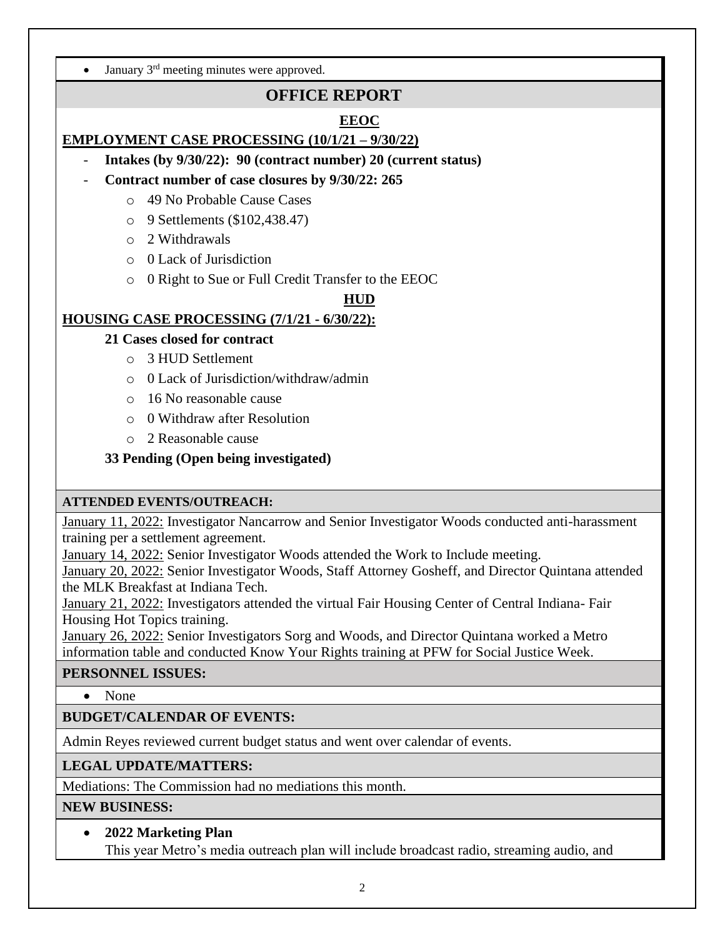• January  $3<sup>rd</sup>$  meeting minutes were approved.

# **OFFICE REPORT**

## **EEOC**

## **EMPLOYMENT CASE PROCESSING (10/1/21 – 9/30/22)**

- **Intakes (by 9/30/22): 90 (contract number) 20 (current status)**
- **Contract number of case closures by 9/30/22: 265**
	- o 49 No Probable Cause Cases
	- o 9 Settlements (\$102,438.47)
	- o 2 Withdrawals
	- o 0 Lack of Jurisdiction
	- o 0 Right to Sue or Full Credit Transfer to the EEOC

#### **HUD**

## **HOUSING CASE PROCESSING (7/1/21 - 6/30/22):**

- **21 Cases closed for contract**
	- o 3 HUD Settlement
	- o 0 Lack of Jurisdiction/withdraw/admin
	- o 16 No reasonable cause
	- o 0 Withdraw after Resolution
	- o 2 Reasonable cause
- **33 Pending (Open being investigated)**

## **ATTENDED EVENTS/OUTREACH:**

January 11, 2022: Investigator Nancarrow and Senior Investigator Woods conducted anti-harassment training per a settlement agreement.

January 14, 2022: Senior Investigator Woods attended the Work to Include meeting.

January 20, 2022: Senior Investigator Woods, Staff Attorney Gosheff, and Director Quintana attended the MLK Breakfast at Indiana Tech.

January 21, 2022: Investigators attended the virtual Fair Housing Center of Central Indiana- Fair Housing Hot Topics training.

January 26, 2022: Senior Investigators Sorg and Woods, and Director Quintana worked a Metro information table and conducted Know Your Rights training at PFW for Social Justice Week.

## **PERSONNEL ISSUES:**

• None

# **BUDGET/CALENDAR OF EVENTS:**

Admin Reyes reviewed current budget status and went over calendar of events.

# **LEGAL UPDATE/MATTERS:**

Mediations: The Commission had no mediations this month.

## **NEW BUSINESS:**

• **2022 Marketing Plan** This year Metro's media outreach plan will include broadcast radio, streaming audio, and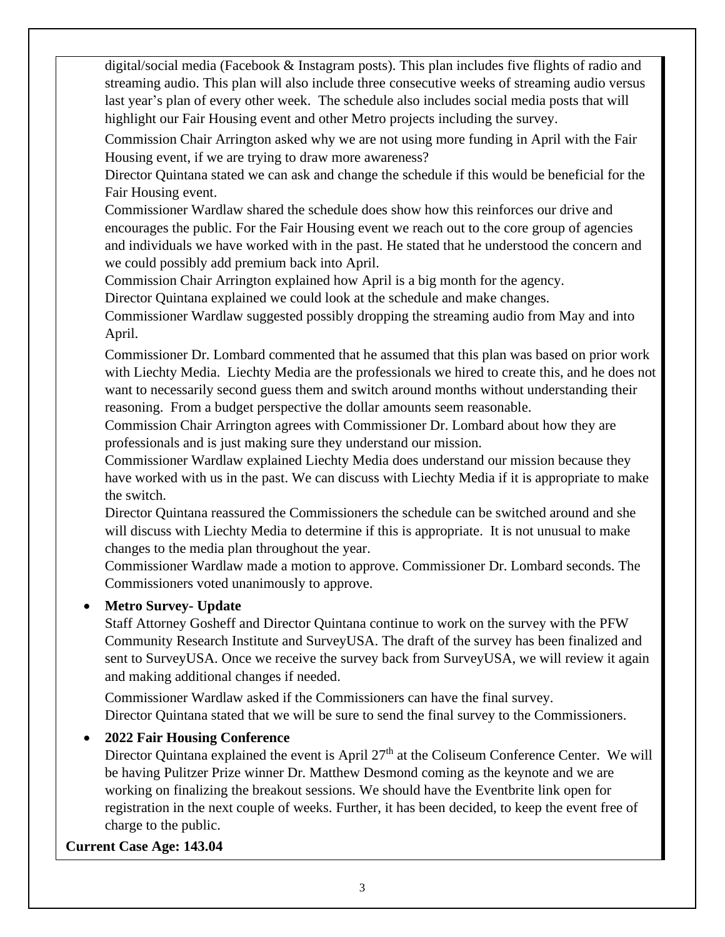digital/social media (Facebook & Instagram posts). This plan includes five flights of radio and streaming audio. This plan will also include three consecutive weeks of streaming audio versus last year's plan of every other week. The schedule also includes social media posts that will highlight our Fair Housing event and other Metro projects including the survey.

Commission Chair Arrington asked why we are not using more funding in April with the Fair Housing event, if we are trying to draw more awareness?

Director Quintana stated we can ask and change the schedule if this would be beneficial for the Fair Housing event.

Commissioner Wardlaw shared the schedule does show how this reinforces our drive and encourages the public. For the Fair Housing event we reach out to the core group of agencies and individuals we have worked with in the past. He stated that he understood the concern and we could possibly add premium back into April.

Commission Chair Arrington explained how April is a big month for the agency.

Director Quintana explained we could look at the schedule and make changes.

Commissioner Wardlaw suggested possibly dropping the streaming audio from May and into April.

Commissioner Dr. Lombard commented that he assumed that this plan was based on prior work with Liechty Media. Liechty Media are the professionals we hired to create this, and he does not want to necessarily second guess them and switch around months without understanding their reasoning. From a budget perspective the dollar amounts seem reasonable.

Commission Chair Arrington agrees with Commissioner Dr. Lombard about how they are professionals and is just making sure they understand our mission.

Commissioner Wardlaw explained Liechty Media does understand our mission because they have worked with us in the past. We can discuss with Liechty Media if it is appropriate to make the switch.

Director Quintana reassured the Commissioners the schedule can be switched around and she will discuss with Liechty Media to determine if this is appropriate. It is not unusual to make changes to the media plan throughout the year.

Commissioner Wardlaw made a motion to approve. Commissioner Dr. Lombard seconds. The Commissioners voted unanimously to approve.

## • **Metro Survey- Update**

Staff Attorney Gosheff and Director Quintana continue to work on the survey with the PFW Community Research Institute and SurveyUSA. The draft of the survey has been finalized and sent to SurveyUSA. Once we receive the survey back from SurveyUSA, we will review it again and making additional changes if needed.

Commissioner Wardlaw asked if the Commissioners can have the final survey. Director Quintana stated that we will be sure to send the final survey to the Commissioners.

## • **2022 Fair Housing Conference**

Director Quintana explained the event is April 27<sup>th</sup> at the Coliseum Conference Center. We will be having Pulitzer Prize winner Dr. Matthew Desmond coming as the keynote and we are working on finalizing the breakout sessions. We should have the Eventbrite link open for registration in the next couple of weeks. Further, it has been decided, to keep the event free of charge to the public.

## **Current Case Age: 143.04**